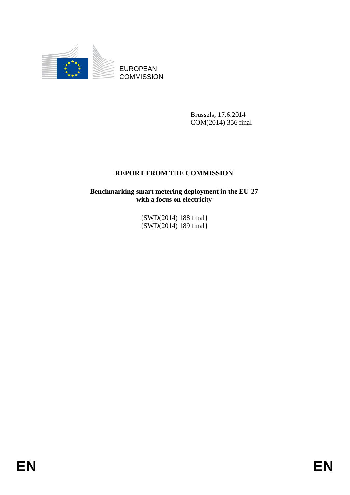

EUROPEAN **COMMISSION** 

> Brussels, 17.6.2014 COM(2014) 356 final

## **REPORT FROM THE COMMISSION**

**Benchmarking smart metering deployment in the EU-27 with a focus on electricity** 

> {SWD(2014) 188 final} {SWD(2014) 189 final}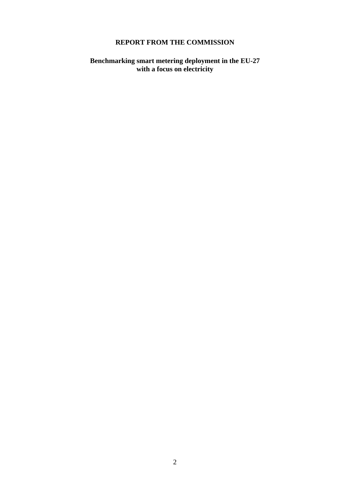## **REPORT FROM THE COMMISSION**

**Benchmarking smart metering deployment in the EU-27 with a focus on electricity**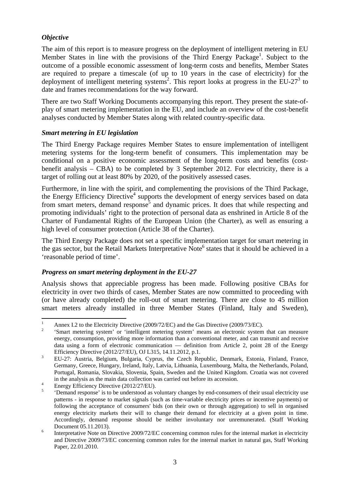## *Objective*

The aim of this report is to measure progress on the deployment of intelligent metering in EU Member States in line with the provisions of the Third Energy Package<sup>1</sup>. Subject to the outcome of a possible economic assessment of long-term costs and benefits, Member States are required to prepare a timescale (of up to 10 years in the case of electricity) for the deployment of intelligent metering systems<sup>2</sup>. This report looks at progress in the EU-27<sup>3</sup> to date and frames recommendations for the way forward.

There are two Staff Working Documents accompanying this report. They present the state-ofplay of smart metering implementation in the EU, and include an overview of the cost-benefit analyses conducted by Member States along with related country-specific data.

#### *Smart metering in EU legislation*

The Third Energy Package requires Member States to ensure implementation of intelligent metering systems for the long-term benefit of consumers. This implementation may be conditional on a positive economic assessment of the long-term costs and benefits (costbenefit analysis – CBA) to be completed by 3 September 2012. For electricity, there is a target of rolling out at least 80% by 2020, of the positively assessed cases.

Furthermore, in line with the spirit, and complementing the provisions of the Third Package, the Energy Efficiency Directive<sup>4</sup> supports the development of energy services based on data from smart meters, demand response<sup>5</sup> and dynamic prices. It does that while respecting and promoting individuals' right to the protection of personal data as enshrined in Article 8 of the Charter of Fundamental Rights of the European Union (the Charter), as well as ensuring a high level of consumer protection (Article 38 of the Charter).

The Third Energy Package does not set a specific implementation target for smart metering in the gas sector, but the Retail Markets Interpretative Note<sup>6</sup> states that it should be achieved in a 'reasonable period of time'.

#### *Progress on smart metering deployment in the EU-27*

Analysis shows that appreciable progress has been made. Following positive CBAs for electricity in over two thirds of cases, Member States are now committed to proceeding with (or have already completed) the roll-out of smart metering. There are close to 45 million smart meters already installed in three Member States (Finland, Italy and Sweden),

**<sup>.</sup>** 1 Annex I.2 to the Electricity Directive (2009/72/EC) and the Gas Directive (2009/73/EC).

 <sup>&#</sup>x27;Smart metering system' or 'intelligent metering system' means an electronic system that can measure energy, consumption, providing more information than a conventional meter, and can transmit and receive data using a form of electronic communication — definition from Article 2, point 28 of the Energy Efficiency Directive (2012/27/EU), OJ L315, 14.11.2012, p.1.<br><sup>3</sup> EU 27: Austria Balaium Pulascia Currus the Graph Bala

EU-27: Austria, Belgium, Bulgaria, Cyprus, the Czech Republic, Denmark, Estonia, Finland, France, Germany, Greece, Hungary, Ireland, Italy, Latvia, Lithuania, Luxembourg, Malta, the Netherlands, Poland, Portugal, Romania, Slovakia, Slovenia, Spain, Sweden and the United Kingdom. Croatia was not covered in the analysis as the main data collection was carried out before its accession.

Energy Efficiency Directive (2012/27/EU).

 <sup>&#</sup>x27;Demand response' is to be understood as voluntary changes by end-consumers of their usual electricity use patterns - in response to market signals (such as time-variable electricity prices or incentive payments) or following the acceptance of consumers' bids (on their own or through aggregation) to sell in organised energy electricity markets their will to change their demand for electricity at a given point in time. Accordingly, demand response should be neither involuntary nor unremunerated. (Staff Working Document 05.11.2013).

Interpretative Note on Directive 2009/72/EC concerning common rules for the internal market in electricity and Directive 2009/73/EC concerning common rules for the internal market in natural gas, Staff Working Paper, 22.01.2010.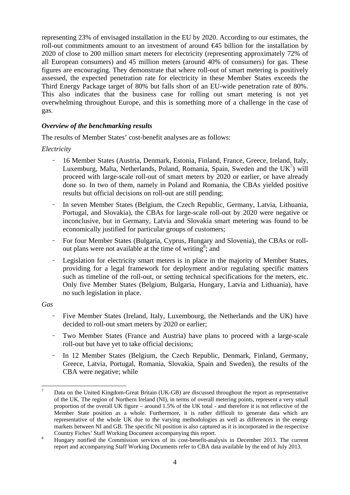representing 23% of envisaged installation in the EU by 2020. According to our estimates, the roll-out commitments amount to an investment of around €45 billion for the installation by 2020 of close to 200 million smart meters for electricity (representing approximately 72% of all European consumers) and 45 million meters (around 40% of consumers) for gas. These figures are encouraging. They demonstrate that where roll-out of smart metering is positively assessed, the expected penetration rate for electricity in these Member States exceeds the Third Energy Package target of 80% but falls short of an EU-wide penetration rate of 80%. This also indicates that the business case for rolling out smart metering is not yet overwhelming throughout Europe, and this is something more of a challenge in the case of gas.

## *Overview of the benchmarking results*

The results of Member States' cost-benefit analyses are as follows:

## *Electricity*

- 16 Member States (Austria, Denmark, Estonia, Finland, France, Greece, Ireland, Italy, Luxemburg, Malta, Netherlands, Poland, Romania, Spain, Sweden and the  $UK<sup>7</sup>$ ) will proceed with large-scale roll-out of smart meters by 2020 or earlier, or have already done so. In two of them, namely in Poland and Romania, the CBAs yielded positive results but official decisions on roll-out are still pending;
- In seven Member States (Belgium, the Czech Republic, Germany, Latvia, Lithuania, Portugal, and Slovakia), the CBAs for large-scale roll-out by 2020 were negative or inconclusive, but in Germany, Latvia and Slovakia smart metering was found to be economically justified for particular groups of customers;
- For four Member States (Bulgaria, Cyprus, Hungary and Slovenia), the CBAs or rollout plans were not available at the time of writing<sup>8</sup>; and
- Legislation for electricity smart meters is in place in the majority of Member States, providing for a legal framework for deployment and/or regulating specific matters such as timeline of the roll-out, or setting technical specifications for the meters, etc. Only five Member States (Belgium, Bulgaria, Hungary, Latvia and Lithuania), have no such legislation in place.

#### *Gas*

- Five Member States (Ireland, Italy, Luxembourg, the Netherlands and the UK) have decided to roll-out smart meters by 2020 or earlier;
- Two Member States (France and Austria) have plans to proceed with a large-scale roll-out but have yet to take official decisions;
- In 12 Member States (Belgium, the Czech Republic, Denmark, Finland, Germany, Greece, Latvia, Portugal, Romania, Slovakia, Spain and Sweden), the results of the CBA were negative; while

<sup>-&</sup>lt;br>7 Data on the United Kingdom-Great Britain (UK-GB) are discussed throughout the report as representative of the UK. The region of Northern Ireland (NI), in terms of overall metering points, represent a very small proportion of the overall UK figure – around 1.5% of the UK total - and therefore it is not reflective of the Member State position as a whole. Furthermore, it is rather difficult to generate data which are representative of the whole UK due to the varying methodologies as well as differences in the energy markets between NI and GB. The specific NI position is also captured as it is incorporated in the respective

Country Fiches' Staff Working Document accompanying this report. 8 Hungary notified the Commission services of its cost-benefit-analysis in December 2013. The current report and accompanying Staff Working Documents refer to CBA data available by the end of July 2013.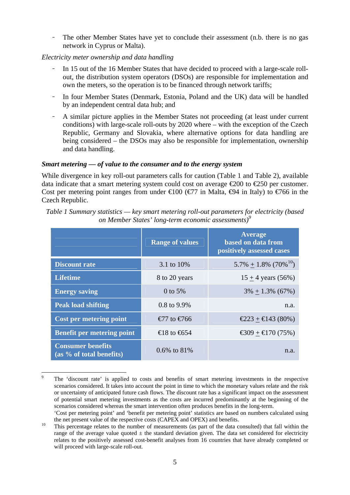- The other Member States have yet to conclude their assessment (n.b. there is no gas network in Cyprus or Malta).

## *Electricity meter ownership and data handling*

- In 15 out of the 16 Member States that have decided to proceed with a large-scale rollout, the distribution system operators (DSOs) are responsible for implementation and own the meters, so the operation is to be financed through network tariffs;
- In four Member States (Denmark, Estonia, Poland and the UK) data will be handled by an independent central data hub; and
- A similar picture applies in the Member States not proceeding (at least under current conditions) with large-scale roll-outs by 2020 where – with the exception of the Czech Republic, Germany and Slovakia, where alternative options for data handling are being considered – the DSOs may also be responsible for implementation, ownership and data handling.

#### *Smart metering — of value to the consumer and to the energy system*

While divergence in key roll-out parameters calls for caution [\(Table 1](#page-4-0) and [Table 2\),](#page-5-0) available data indicate that a smart metering system could cost on average  $\epsilon$ 200 to  $\epsilon$ 250 per customer. Cost per metering point ranges from under  $\in$  100 ( $\in$  7 in Malta,  $\in$  4 in Italy) to  $\in$  766 in the Czech Republic.

<span id="page-4-0"></span>

| Table 1 Summary statistics — key smart metering roll-out parameters for electricity (based |  |
|--------------------------------------------------------------------------------------------|--|
| on Member States' long-term economic assessments) <sup>9</sup>                             |  |

|                                                      | <b>Range of values</b>           | <b>Average</b><br>based on data from<br>positively assessed cases |
|------------------------------------------------------|----------------------------------|-------------------------------------------------------------------|
| <b>Discount rate</b>                                 | 3.1 to 10%                       | $5.7\% + 1.8\%$ (70% <sup>10</sup> )                              |
| <b>Lifetime</b>                                      | 8 to 20 years                    | $15 + 4$ years (56%)                                              |
| <b>Energy saving</b>                                 | 0 to $5%$                        | $3\% + 1.3\%$ (67%)                                               |
| <b>Peak load shifting</b>                            | 0.8 to 9.9%                      | n.a.                                                              |
| <b>Cost per metering point</b>                       | €77 to €766                      | $\text{\textsterling}223 + \text{\textsterling}43(80\%)$          |
| <b>Benefit per metering point</b>                    | € 8 to $\text{\textsterling}654$ | € 309 + € 170 (75%)                                               |
| <b>Consumer benefits</b><br>(as % of total benefits) | 0.6% to 81%                      | n.a.                                                              |

<sup>-&</sup>lt;br>9 The 'discount rate' is applied to costs and benefits of smart metering investments in the respective scenarios considered. It takes into account the point in time to which the monetary values relate and the risk or uncertainty of anticipated future cash flows. The discount rate has a significant impact on the assessment of potential smart metering investments as the costs are incurred predominantly at the beginning of the scenarios considered whereas the smart intervention often produces benefits in the long-term.

<sup>&#</sup>x27;Cost per metering point' and 'benefit per metering point' statistics are based on numbers calculated using the net present value of the respective costs (CAPEX and OPEX) and benefits.<br><sup>10</sup> This percentage relates to the number of measurements (as part of the data consulted) that fall within the

range of the average value quoted  $\pm$  the standard deviation given. The data set considered for electricity relates to the positively assessed cost-benefit analyses from 16 countries that have already completed or will proceed with large-scale roll-out.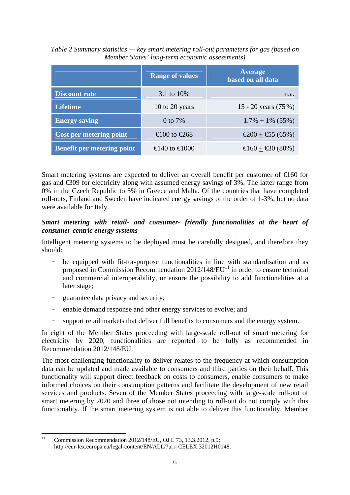|                                   | <b>Range of values</b> | <b>Average</b><br>based on all data                    |
|-----------------------------------|------------------------|--------------------------------------------------------|
| <b>Discount rate</b>              | 3.1 to 10%             | n.a.                                                   |
| <b>Lifetime</b>                   | 10 to 20 years         | 15 - 20 years $(75%)$                                  |
| <b>Energy saving</b>              | 0 to 7%                | $1.7\% + 1\%$ (55%)                                    |
| Cost per metering point           | €100 to €268           | € $200 + 65(65%)$                                      |
| <b>Benefit per metering point</b> | $€140$ to $€1000$      | $\text{\textsterling}60 + \text{\textsterling}0(80\%)$ |

<span id="page-5-0"></span>*Table 2 Summary statistics — key smart metering roll-out parameters for gas (based on Member States' long-term economic assessments)* 

Smart metering systems are expected to deliver an overall benefit per customer of  $\epsilon$ 60 for gas and €309 for electricity along with assumed energy savings of 3%. The latter range from 0% in the Czech Republic to 5% in Greece and Malta. Of the countries that have completed roll-outs, Finland and Sweden have indicated energy savings of the order of 1-3%, but no data were available for Italy.

#### *Smart metering with retail- and consumer- friendly functionalities at the heart of consumer-centric energy systems*

Intelligent metering systems to be deployed must be carefully designed, and therefore they should:

- be equipped with fit-for-purpose functionalities in line with standardisation and as proposed in Commission Recommendation  $2012/148/EU<sup>11</sup>$  in order to ensure technical and commercial interoperability, or ensure the possibility to add functionalities at a later stage;
- guarantee data privacy and security;
- enable demand response and other energy services to evolve; and
- support retail markets that deliver full benefits to consumers and the energy system.

In eight of the Member States proceeding with large-scale roll-out of smart metering for electricity by 2020, functionalities are reported to be fully as recommended in Recommendation 2012/148/EU.

The most challenging functionality to deliver relates to the frequency at which consumption data can be updated and made available to consumers and third parties on their behalf. This functionality will support direct feedback on costs to consumers, enable consumers to make informed choices on their consumption patterns and facilitate the development of new retail services and products. Seven of the Member States proceeding with large-scale roll-out of smart metering by 2020 and three of those not intending to roll-out do not comply with this functionality. If the smart metering system is not able to deliver this functionality, Member

 $11$ Commission Recommendation 2012/148/EU, OJ L 73, 13.3.2012, p.9; [http://eur-lex.europa.eu/legal-content/EN/ALL/?uri=CELEX:32012H0148.](http://eur-lex.europa.eu/legal-content/EN/ALL/?uri=CELEX:32012H0148)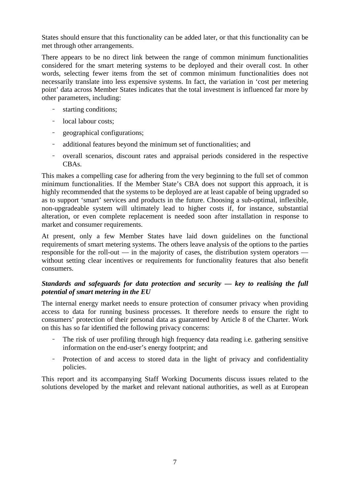States should ensure that this functionality can be added later, or that this functionality can be met through other arrangements.

There appears to be no direct link between the range of common minimum functionalities considered for the smart metering systems to be deployed and their overall cost. In other words, selecting fewer items from the set of common minimum functionalities does not necessarily translate into less expensive systems. In fact, the variation in 'cost per metering point' data across Member States indicates that the total investment is influenced far more by other parameters, including:

- starting conditions;
- local labour costs;
- geographical configurations;
- additional features beyond the minimum set of functionalities; and
- overall scenarios, discount rates and appraisal periods considered in the respective CBAs.

This makes a compelling case for adhering from the very beginning to the full set of common minimum functionalities. If the Member State's CBA does not support this approach, it is highly recommended that the systems to be deployed are at least capable of being upgraded so as to support 'smart' services and products in the future. Choosing a sub-optimal, inflexible, non-upgradeable system will ultimately lead to higher costs if, for instance, substantial alteration, or even complete replacement is needed soon after installation in response to market and consumer requirements.

At present, only a few Member States have laid down guidelines on the functional requirements of smart metering systems. The others leave analysis of the options to the parties responsible for the roll-out — in the majority of cases, the distribution system operators without setting clear incentives or requirements for functionality features that also benefit consumers.

## *Standards and safeguards for data protection and security — key to realising the full potential of smart metering in the EU*

The internal energy market needs to ensure protection of consumer privacy when providing access to data for running business processes. It therefore needs to ensure the right to consumers' protection of their personal data as guaranteed by Article 8 of the Charter. Work on this has so far identified the following privacy concerns:

- The risk of user profiling through high frequency data reading i.e. gathering sensitive information on the end-user's energy footprint; and
- Protection of and access to stored data in the light of privacy and confidentiality policies.

This report and its accompanying Staff Working Documents discuss issues related to the solutions developed by the market and relevant national authorities, as well as at European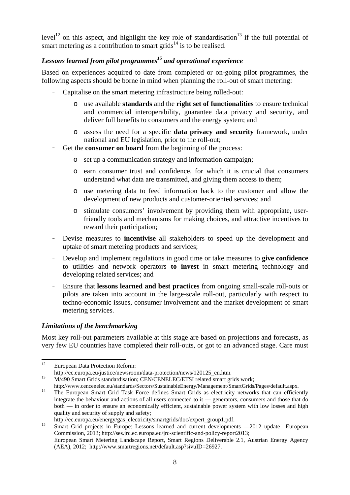level<sup>12</sup> on this aspect, and highlight the key role of standardisation<sup>13</sup> if the full potential of smart metering as a contribution to smart grids<sup>14</sup> is to be realised.

# Lessons learned from pilot programmes<sup>15</sup> and operational experience

Based on experiences acquired to date from completed or on-going pilot programmes, the following aspects should be borne in mind when planning the roll-out of smart metering:

- Capitalise on the smart metering infrastructure being rolled-out:
	- o use available **standards** and the **right set of functionalities** to ensure technical and commercial interoperability, guarantee data privacy and security, and deliver full benefits to consumers and the energy system; and
	- o assess the need for a specific **data privacy and security** framework, under national and EU legislation, prior to the roll-out;
- Get the **consumer on board** from the beginning of the process:
	- o set up a communication strategy and information campaign;
	- o earn consumer trust and confidence, for which it is crucial that consumers understand what data are transmitted, and giving them access to them;
	- o use metering data to feed information back to the customer and allow the development of new products and customer-oriented services; and
	- o stimulate consumers' involvement by providing them with appropriate, userfriendly tools and mechanisms for making choices, and attractive incentives to reward their participation;
- Devise measures to **incentivise** all stakeholders to speed up the development and uptake of smart metering products and services;
- Develop and implement regulations in good time or take measures to **give confidence** to utilities and network operators **to invest** in smart metering technology and developing related services; and
- Ensure that **lessons learned and best practices** from ongoing small-scale roll-outs or pilots are taken into account in the large-scale roll-out, particularly with respect to techno-economic issues, consumer involvement and the market development of smart metering services.

## *Limitations of the benchmarking*

Most key roll-out parameters available at this stage are based on projections and forecasts, as very few EU countries have completed their roll-outs, or got to an advanced stage. Care must

<sup>12</sup> European Data Protection Reform:

[h](http://ec.europa.eu/justice/newsroom/data-protection/news/120125_en.htm)ttp://ec.europa.eu/justice/newsroom/data-protection/news/120125\_en.htm.<br>
13 [M](http://ec.europa.eu/justice/newsroom/data-protection/news/120125_en.htm)/490 Smart Grids standardisation; CEN/CENELEC/ETSI related smart grids work;

[http://www.cencenelec.eu/standards/Sectors/SustainableEnergy/Management/SmartGrids/Pages/default.aspx.](http://www.cencenelec.eu/standards/Sectors/SustainableEnergy/Management/SmartGrids/Pages/default.aspx) 14 [The European Smart Grid Task Force defines Smart Grids as electricity networks that can efficien](http://www.cencenelec.eu/standards/Sectors/SustainableEnergy/Management/SmartGrids/Pages/default.aspx)tly

integrate the behaviour and actions of all users connected to it — generators, consumers and those that do both — in order to ensure an economically efficient, sustainable power system with low losses and high quality and security of supply and safety;

http://ec.europa.eu/energy/gas\_electricity/smartgrids/doc/expert\_group1.pdf.<br>
Smart Grid projects in Europe: Lessons learned and current developments —2012 update European Commission, 2013; http://ses.jrc.ec.europa.eu/jrc-scientific-and-policy-report2013;

European Smart Metering Landscape Report, Smart Regions Deliverable 2.1, Austrian Energy Agency (AEA), 2012; [http://www.smartregions.net/default.asp?sivuID=26927.](http://www.smartregions.net/default.asp?sivuID=26927)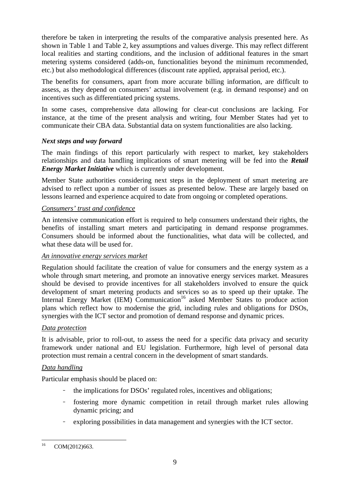therefore be taken in interpreting the results of the comparative analysis presented here. As shown in [Table 1](#page-4-0) an[d Table 2,](#page-5-0) key assumptions and values diverge. This may reflect different local realities and starting conditions, and the inclusion of additional features in the smart metering systems considered (adds-on, functionalities beyond the minimum recommended, etc.) but also methodological differences (discount rate applied, appraisal period, etc.).

The benefits for consumers, apart from more accurate billing information, are difficult to assess, as they depend on consumers' actual involvement (e.g. in demand response) and on incentives such as differentiated pricing systems.

In some cases, comprehensive data allowing for clear-cut conclusions are lacking. For instance, at the time of the present analysis and writing, four Member States had yet to communicate their CBA data. Substantial data on system functionalities are also lacking.

## *Next steps and way forward*

The main findings of this report particularly with respect to market, key stakeholders relationships and data handling implications of smart metering will be fed into the *Retail Energy Market Initiative* which is currently under development.

Member State authorities considering next steps in the deployment of smart metering are advised to reflect upon a number of issues as presented below. These are largely based on lessons learned and experience acquired to date from ongoing or completed operations.

#### *Consumers' trust and confidence*

An intensive communication effort is required to help consumers understand their rights, the benefits of installing smart meters and participating in demand response programmes. Consumers should be informed about the functionalities, what data will be collected, and what these data will be used for.

## *An innovative energy services market*

Regulation should facilitate the creation of value for consumers and the energy system as a whole through smart metering, and promote an innovative energy services market. Measures should be devised to provide incentives for all stakeholders involved to ensure the quick development of smart metering products and services so as to speed up their uptake. The Internal Energy Market (IEM) Communication<sup>16</sup> asked Member States to produce action plans which reflect how to modernise the grid, including rules and obligations for DSOs, synergies with the ICT sector and promotion of demand response and dynamic prices.

## *Data protection*

It is advisable, prior to roll-out, to assess the need for a specific data privacy and security framework under national and EU legislation. Furthermore, high level of personal data protection must remain a central concern in the development of smart standards.

## *Data handling*

Particular emphasis should be placed on:

- the implications for DSOs' regulated roles, incentives and obligations;
- fostering more dynamic competition in retail through market rules allowing dynamic pricing; and
- exploring possibilities in data management and synergies with the ICT sector.

 $16$ COM(2012)663.